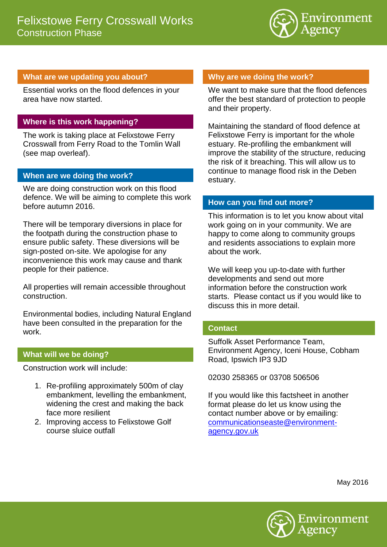

# **What are we updating you about?**

Essential works on the flood defences in your area have now started.

## **Where is this work happening?**

The work is taking place at Felixstowe Ferry Crosswall from Ferry Road to the Tomlin Wall (see map overleaf).

#### **When are we doing the work?**

We are doing construction work on this flood defence. We will be aiming to complete this work before autumn 2016.

There will be temporary diversions in place for the footpath during the construction phase to ensure public safety. These diversions will be sign-posted on-site. We apologise for any inconvenience this work may cause and thank people for their patience.

All properties will remain accessible throughout construction.

Environmental bodies, including Natural England have been consulted in the preparation for the work.

## **What will we be doing?**

Construction work will include:

- 1. Re-profiling approximately 500m of clay embankment, levelling the embankment, widening the crest and making the back face more resilient
- 2. Improving access to Felixstowe Golf course sluice outfall

## **Why are we doing the work?**

We want to make sure that the flood defences offer the best standard of protection to people and their property.

Maintaining the standard of flood defence at Felixstowe Ferry is important for the whole estuary. Re-profiling the embankment will improve the stability of the structure, reducing the risk of it breaching. This will allow us to continue to manage flood risk in the Deben estuary.

#### **How can you find out more?**

This information is to let you know about vital work going on in your community. We are happy to come along to community groups and residents associations to explain more about the work.

We will keep you up-to-date with further developments and send out more information before the construction work starts. Please contact us if you would like to discuss this in more detail.

## **Contact**

Suffolk Asset Performance Team, Environment Agency, Iceni House, Cobham Road, Ipswich IP3 9JD

02030 258365 or 03708 506506

If you would like this factsheet in another format please do let us know using the contact number above or by emailing: [communicationseaste@environment](mailto:communicationseaste@environment-agency.gov.uk)[agency.gov.uk](mailto:communicationseaste@environment-agency.gov.uk)

May 2016